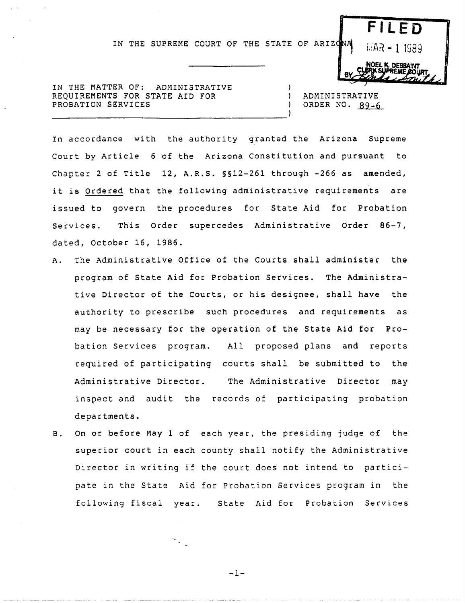IN THE SUPREME COURT OF THE STATE OF ARIZONAL  $\left| 14R - 11989 \right|$ 

IN THE MATTER OF: ADMINISTRATIVE REQUIREMENTS FOR STATE AID FOR PROBATION SERVICES

ADMINISTRATIVE ORDER NO. 89-6

-1

**BY.** 

**FilED** 

**JOEL K. DES** 

In accordance with the authority granted the Arizona Supreme Court by Article 6 of the Arizona Constitution and pursuant to Chapter 2 of Title 12, A.R.S. §§12-261 through -266 as amended, it is Ordered that the following administrative requirements are issued to govern the procedures for State Aid for Probation Services. This Order supercedes Administrative Order 86-7, dated, October 16, 1986.

- A. The Administrative Office of the Courts shall administer the program of State Aid for Probation Services. The Administrative Director of the Courts, or his designee, shall have the authority to prescribe such procedures and requirements as may be necessary for the operation of the State Aid for Probation Services program. All proposed plans and reports required of participating courts shall be submitted to the Administrative Director. The Administrative Director may inspect and audit the records of participating probation departments.
- B. On or before May 1 of each year, the presiding judge of the superior court in each county shall notify the Administrative Director in writing if the court does not intend to participate in the State Aid for Probation Services program in the following fiscal year. State Aid for Probation Services

 $-1-$ 

 $\mathcal{F}_{\frac{1}{2} \mathcal{F}_{\mathcal{F}}}$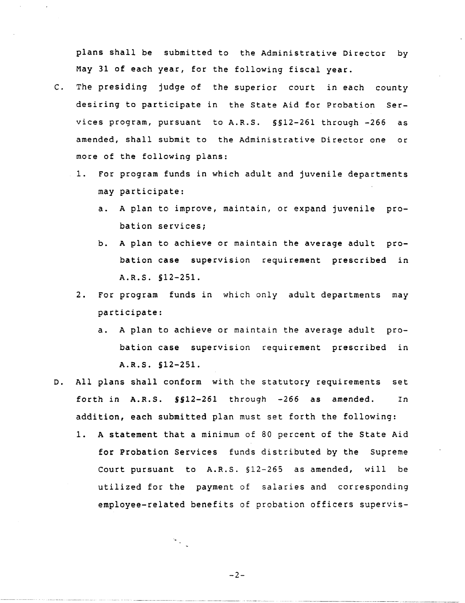plans shall be submitted to the Administrative Director by May 31 of each year, for the following fiscal year.

- C. The presiding judge of the superior court in each county desiring to participate in the State Aid for Probation Services program, pursuant to A.R.S. §§12-26l through -266 as amended, shall submit to the Administrative Director one or more of the following plans:
	- 1. For program funds in which adult and juvenile departments may participate:
		- a. A plan to improve, maintain, or expand juvenile probation services;
		- b. A plan to achieve or maintain the average adult probation case supervision requirement prescribed in A.R.S. §12-251.
	- 2. For program funds in which only adult departments may participate:
		- a. A plan to achieve or maintain the average adult probation case supervision requirement prescribed in A.R.S. §12-251.
- D. All plans shall conform with the statutory requirements set forth in A.R.S. §§12-261 through -266 as amended. In addition, each submitted plan must set forth the following:
	- 1. A statement that a minimum of 80 percent of the State Aid for Probation Services funds distributed by the Supreme Court pursuant to A.R.S. §12-265 as amended, will be utilized for the payment of salaries and corresponding employee-related benefits of probation officers supervis-

-2-

У.,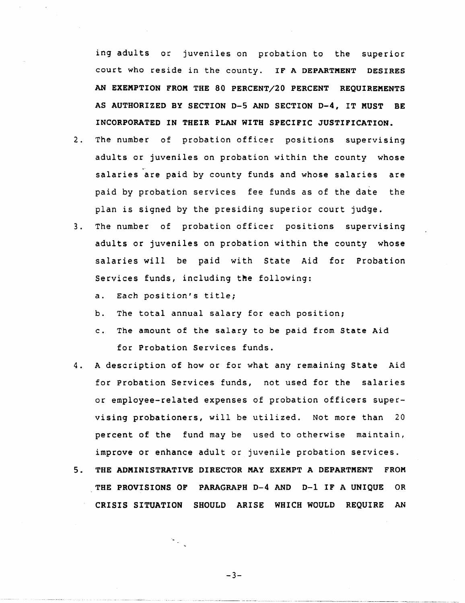ing adults or juveniles on probation to the superior court who reside in the county. IF A DEPARTMENT DESIRES AN EXEMPTION FROM THE 80 PERCENT/20 PERCENT REQUIREMENTS AS AUTHORIZED BY SECTION 0-5 AND SECTION 0-4, IT MUST BE INCORPORATED IN THEIR PLAN WITH SPECIFIC JUSTIFICATION.

- 2. The number of probation officer positions supervising adults or juveniles on probation within the county whose salaries are paid by county funds and whose salaries are paid by probation services fee funds as of the date the plan is signed by the presiding superior court judge.
- 3. The number of probation officer positions supervising adults or juveniles on probation within the county whose salaries will be paid with State Aid for Probation Services funds, including the following:
	- a. Each position's title;
	- b. The total annual salary for each position;
	- c. The amount of the salary to be paid from State Aid for Probation Services funds.
- 4. A description of how or for what any remaining State Aid for Probation Services funds, not used for the salaries or employee-related expenses of probation officers supervising probationers, will be utilized. Not more than 20 percent of the fund may be used to otherwise maintain, improve or enhance adult or juvenile probation services.
- 5. THE ADMINISTRATIVE DIRECTOR MAY EXEMPT A DEPARTMENT FROM THE PROVISIONS OF PARAGRAPH 0-4 AND 0-1 IF A UNIQUE OR CRISIS SITUATION SHOULD ARISE WHICH WOULD REQUIRE AN

 $-3-$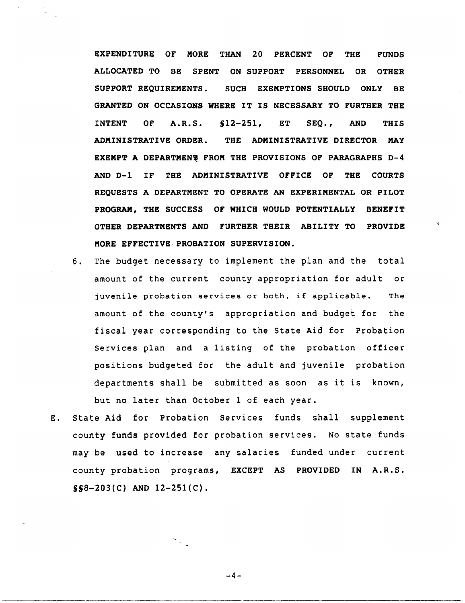EXPENDITURE OF MORE THAN 20 PERCENT OF THE FUNDS ALLOCATED TO BE SPENT ON SUPPORT PERSONNEL OR OTHER SUPPORT REQUIREMENTS. SUCH EXEMPTIONS SHOULD ONLY BE GRANTED ON OCCASIONS WHERE IT IS NECESSARY TO FURTHER THE INTENT OF A.R.S. S12-2S1, ET SEQ., AND THIS ADMINISTRATIVE ORDER. THE ADMINISTRATIVE DIRECTOR MAY EXEMPT A DEPARTMENT FROM THE PROVISIONS OF PARAGRAPHS D-4 AND 0-1 IF THE ADMINISTRATIVE OFFICE OF THE COURTS REQUESTS A DEPARTMENT TO OPERATE AN EXPERIMENTAL OR PILOT PROGRAM, THE SUCCESS OF WHICH WOULD POTENTIALLY BENEFIT OTHER DEPARTMENTS AND FURTHER THEIR ABILITY TO PROVIDE MORE EFFECTIVE PROBATION SUPERVISION.

- 6. The budget necessary to implement the plan and the total amount of the current county appropriation for adult or juvenile probation services or both, if applicable. The amount of the county's appropriation and budget for the fiscal year corresponding to the State Aid for Probation Services plan and a listing of the probation officer positions budgeted for the adult and juvenile probation departments shall be submitted as soon as it is known, but no later than October 1 of each year.
- E. State Aid for Probation Services funds shall supplement county funds provided for probation services. No state funds may be used to increase any salaries funded under current county probation programs, EXCEPT AS PROVIDED IN A.R.S.  $$S8-203(C)$  AND  $12-251(C)$ .

 $-4-$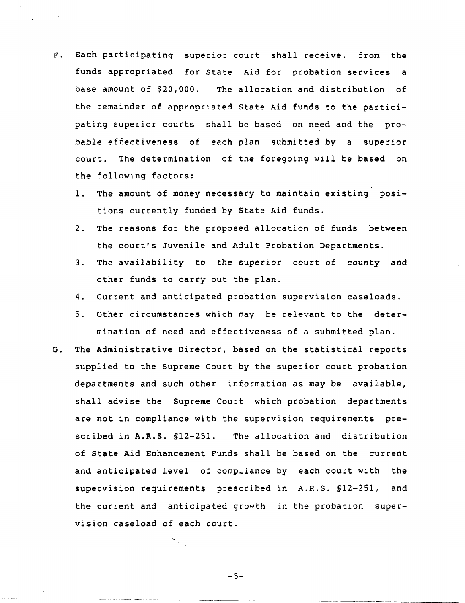- F. Each participating superior court shall receive, from the funds appropriated for State Aid for probation services a base amount of \$20,000. The allocation and distribution of the remainder of appropriated State Aid funds to the participating superior courts shall be based on need and the probable effectiveness of each plan submitted by a superior court. The determination of the foregoing will be based on the following factors:
	- 1. The amount of money necessary to maintain existing positions currently funded by State Aid funds.
	- 2. The reasons for the proposed allocation of funds between the court's Juvenile and Adult Probation Departments.
	- 3. The availability to the superior court of county and other funds to carry out the plan.
	- 4. Current and anticipated probation supervision caseloads.
	- 5. Other circumstances which may be relevant to the determination of need and effectiveness of a submitted plan.
- G. The Administrative Director, based on the statistical reports supplied to the Supreme Court by the superior court probation departments and such other information as may be available, shall advise the Supreme Court which probation departments are not in compliance with the supervision requirements prescribed in A.R.S. §12-251. The allocation and distribution of State Aid Enhancement Funds shall be based on the current and anticipated level of compliance by each court with the supervision requirements prescribed in A.R.S. §12-251, and the current and anticipated growth in the probation super*vision* caseload of each court.

 $-5-$ 

------~--------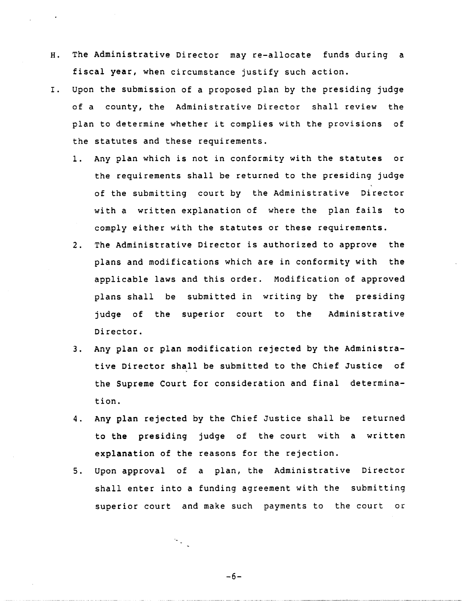- H. The Administrative Director may re-allocate funds during a fiscal year, when circumstance justify such action.
- I. Upon the submission of a proposed plan by the presiding judge of a county, the Administrative Director shall review the plan to determine whether it complies with the provisions of the statutes and these requirements.
	- 1. Any plan which is not in conformity with the statutes or the requirements shall be returned to the presiding judge of the submitting court by the Administrative Director with a written explanation of where the plan fails to comply either with the statutes or these requirements.
	- 2. The Administrative Director is authorized to approve the plans and modifications which are in conformity with the applicable laws and this order. Modification of approved plans shall be submitted in writing by the presiding judge of the superior court to the Administrative Director.
	- 3. Any plan or plan modification rejected by the Administrative Director shall be submitted to the Chief Justice of the Supreme Court for consideration and final determination.
	- 4. Any plan rejected by the Chief Justice shall be returned to the presiding judge of the court with a written explanation of the reasons for the rejection.
	- 5. Upon approval of a plan, the Administrative Director shall enter into a funding agreement with the submitting superior court and make such payments to the court or

-6-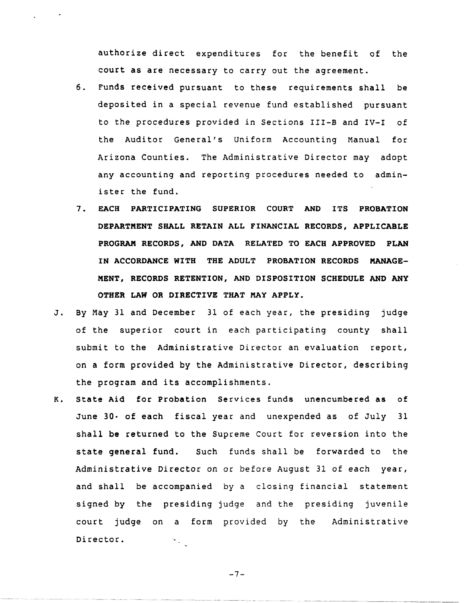authorize direct expenditures for the benefit of the court as are necessary to carry out the agreement.

- 6. Funds received pursuant to these requirements shall be deposited in a special revenue fund established pursuant to the procedures provided in Sections III-B and IV-I of the Auditor General's Uniform Accounting Manual for Arizona Counties. The Administrative Director may adopt any accounting and reporting procedures needed to administer the fund.
- 7. EACH PARTICIPATING SUPERIOR COURT AND ITS PROBATION DEPARTMENT SHALL RETAIN ALL FINANCIAL RECORDS, APPLICABLE PROGRAM RECORDS, AND DATA RELATED TO EACH APPROVED PLAN IN ACCORDANCE WITH THE ADULT PROBATION RECORDS MANAGE-MENT, RECORDS RETENTION, AND DISPOSITION SCHEDULE AND ANY OTHER LAW OR DIRECTIVE THAT MAY APPLY.
- J. By May 31 and December 31 of each year, the presiding judge of the superior court in each participating county shall submit to the Administrative Director an evaluation report, on a form provided by the Administrative Director, describing the program and its accomplishments.
- K. State Aid for Probation Services funds unencumbered as of June 30. of each fiscal year and unexpended as of July 31 shall be returned to the Supreme Court for reversion into the state general fund. Such funds shall be forwarded to the Administrative Director on or before August 31 of each year, and shall be accompanied by a closing financial statement signed by the presiding judge and the presiding juvenile court judge on a form provided by the Administrative Director.  $\mathcal{F}_{\text{max}}$

 $-7-$